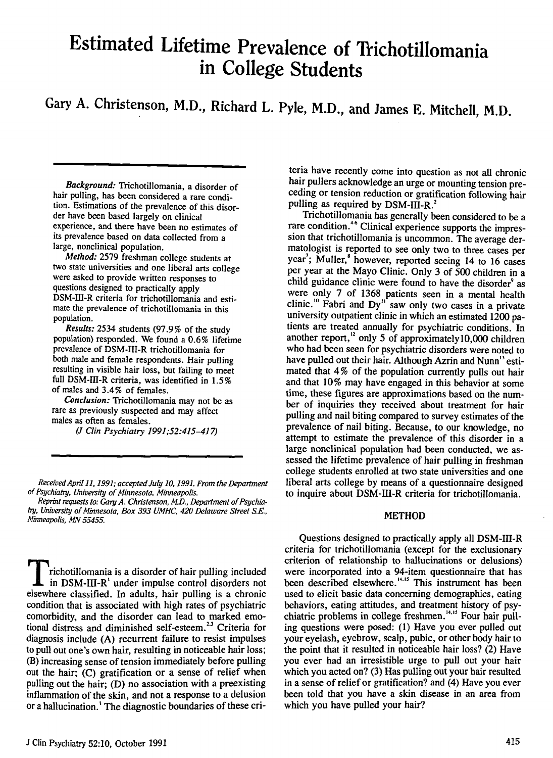# Estimated Lifetime Prevalence of Trichotillomania in College Students

Gary A. Christenson, M.D., Richard L. Pyle, M.D., and James E. Mitchell, M.D.

Background: Trichotillomania, a disorder of hair pulling, has been considered a rare condition. Estimations of the prevalence of this disorder have been based largely on clinical experience, and there have been no estimates of its prevalence based on data collected from <sup>a</sup> large, nonclinical population.

Method: 2579 freshman college students at two state universities and one liberal arts college were asked to provide written responses to questions designed to practically apply DSM-III-R criteria for trichotillomania and estimate the prevalence of trichotillomania in this population.

Results: 2534 students (97.9% of the study population) responded. We found a 0.6% lifetime prevalence of DSM-III-R trichotillomania for both male and female respondents. Hair pulling resulting in visible hair loss, but failing to meet full DSM-III-R criteria, was identified in 1.5% of males and 3.4% of females.

Conclusion: Trichotillomania may not be as rare as previously suspected and may affect males as often as females.

(J Clin Psychiatry 1991;52:415-417)

 $\rm T$ richotillomania is a disorder of hair pulling included in DSM-III-R' under impulse control disorders not elsewhere classified. In adults, hair pulling is a chronic condition that is associated with high rates of psychiatric comorbidity, and the disorder can lead to marked emotional distress and diminished self-esteem.<sup>2,3</sup> Criteria for diagnosis include (A) recurrent failure to resist impulses to pull out one's own hair, resulting in noticeable hair loss; (B) increasing sense of tension immediately before pulling out the hair; (C) gratification or a sense of relief when pulling out the hair; (D) no association with a preexisting inflammation of the skin, and not a response to a delusion or a hallucination.' The diagnostic boundaries of these cri-

teria have recently come into question as not all chronic hair pullers acknowledge an urge or mounting tension preceding or tension reduction or gratification following hair pulling as required by DSM-III-R.<sup>2</sup>

Trichotillomania has generally been considered to be <sup>a</sup> rare condition.<sup>46</sup> Clinical experience supports the impression that trichotillomania is uncommon. The average dermatologist is reported to see only two to three cases per vear': Muller,<sup>8</sup> however, reported seeing 14 to 16 cases per year at the Mayo Clinic. Only 3 of 500 children in <sup>a</sup> child guidance clinic were found to have the disorder<sup>9</sup> as were only 7 of 1368 patients seen in a mental health Fabri and Dy" saw only two cases in a private university outpatient clinic in which an estimated  $1200$  patients are treated annually for psychiatric conditions. In another report,<sup>12</sup> only 5 of approximately10,000 children who had been seen for psychiatric disorders were noted to have pulled out their hair. Although Azrin and Nunn<sup>13</sup> estimated that 4% of the population currently pulls out hair and that 10% may have engaged in this behavior at some time, these figures are approximations based on the number of inquiries they received about treatment for hair pulling and nail biting compared to survey estimates of the prevalence of nail biting. Because, to our knowledge, no attempt to estimate the prevalence of this disorder in <sup>a</sup> large nonclinical population had been conducted, we assessed the lifetime prevalence of hair pulling in freshman college students enrolled at two state universities and one liberal arts college by means of a questionnaire designed to inquire about DSM-III-R criteria for trichotillomania.

### METHOD

Questions designed to practically apply all DSM-III-R criteria for trichotillomania (except for the exclusionary criterion of relationship to hallucinations or delusions) were incorporated into a 94-item questionnaire that has been described elsewhere."'" This instrument has been used to elicit basic data concerning demographics, eating behaviors, eating attitudes, and treatment history of psychiatric problems in college freshmen.<sup>14,15</sup> Four hair pulling questions were posed: (1) Have you ever pulled out your eyelash, eyebrow, scalp, pubic, or other body hair to the point that it resulted in noticeable hair loss? (2) Have you ever had an irresistible urge to pull out your hair which you acted on? (3) Has pulling out your hair resulted in a sense of relief or gratification? and (4) Have you ever been told that you have a skin disease in an area from which you have pulled your hair?

Received Apri111, 1991; accepted July 10, 1991. From the Department of Psychiatry, University of Minnesota, Minneapolis.

Reprint requests to: Cary A. Christenson, M.D., Department of Psychiatry, University of Minnesota, Box 393 UMHC, 420 Delaware Street S.E., Minneapolis, MN 55455.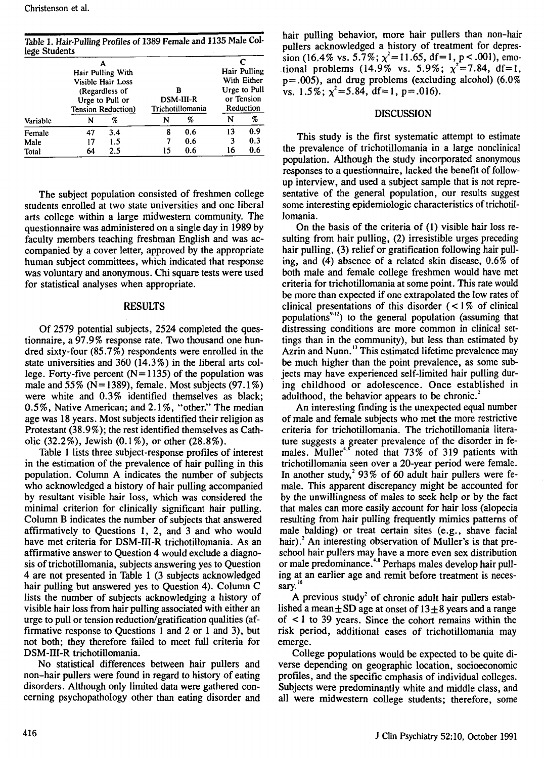Table 1. Hair-Pulling Profiles of 1389 Female and 1135 Male College Students

| tege students                          |                                                         |     |                                           |     |                                         | с   |
|----------------------------------------|---------------------------------------------------------|-----|-------------------------------------------|-----|-----------------------------------------|-----|
| Hair Pulling With<br>Visible Hair Loss |                                                         |     |                                           |     | Hair Pulling<br>With Either             |     |
|                                        | (Regardless of<br>Urge to Pull or<br>Tension Reduction) |     | в<br><b>DSM-III-R</b><br>Trichotillomania |     | Urge to Pull<br>or Tension<br>Reduction |     |
| Variable                               | N                                                       | %   | N                                         | %   | N                                       | %   |
| Female                                 | 47                                                      | 3.4 | 8                                         | 0.6 | 13                                      | 0.9 |
| Male                                   | 17                                                      | 1.5 |                                           | 0.6 | 3                                       | 0.3 |
| Total                                  | 64                                                      | 2.5 | 15                                        | 0.6 | 16                                      | 0.6 |

The subject population consisted of freshmen college students enrolled at two state universities and one liberal arts college within a large midwestern community. The questionnaire was administered on a single day in 1989 by faculty members teaching freshman English and was accompanied by a cover letter, approved by the appropriate human subject committees, which indicated that response was voluntary and anonymous. Chi square tests were used for statistical analyses when appropriate.

#### RESULTS

Of 2579 potential subjects, 2524 completed the questionnaire, a 97.9% response rate. Two thousand one hundred sixty-four (85.7 %) respondents were enrolled in the state universities and 360 (14.3%) in the liberal arts college. Forty-five percent  $(N=1135)$  of the population was male and  $55\%$  (N=1389), female. Most subjects (97.1%) were white and 0.3% identified themselves as black; 0.5%, Native American; and 2.1%, "other." The median age was 18 years. Most subjects identified their religion as Protestant (38.9%); the rest identified themselves as Catholic (32.2%), Jewish (0.1%), or other (28.8%).

Table 1 lists three subject-response profiles of interest in the estimation of the prevalence of hair pulling in this population. Column A indicates the number of subjects who acknowledged a history of hair pulling accompanied by resultant visible hair loss, which was considered the minimal criterion for clinically significant hair pulling. Column B indicates the number of subjects that answered affirmatively to Questions 1, 2, and 3 and who would have met criteria for DSM-11I-R trichotillomania. As an affirmative answer to Question 4 would exclude a diagnosis of trichotillomania, subjects answering yes to Question 4 are not presented in Table 1 (3 subjects acknowledged hair pulling but answered yes to Question 4). Column C lists the number of subjects acknowledging a history of visible hair loss from hair pulling associated with either an urge to pull or tension reduction/gratification qualities (affirmative response to Questions 1 and 2 or 1 and 3), but not both; they therefore failed to meet full criteria for DSM-III-R trichotillomania.

No statistical differences between hair pullers and non-hair pullers were found in regard to history of eating disorders. Although only limited data were gathered concerning psychopathology other than eating disorder and hair pulling behavior, more hair pullers than non-hair pullers acknowledged a history of treatment for depression (16.4% vs. 5.7%;  $\chi^2$  = 11.65, df = 1, p < .001), emotional problems (14.9% vs. 5.9%;  $\chi^2$ =7.84, df=1,  $p = .005$ ), and drug problems (excluding alcohol) (6.0%) vs.  $1.5\%$ ;  $x^2 = 5.84$ , df=1, p=.016).

## DISCUSSION

This study is the first systematic attempt to estimate the prevalence of trichotillomania in a large nonclinical population. Although the study incorporated anonymous responses to a questionnaire, lacked the benefit of followup interview, and used a subject sample that is not representative of the general population, our results suggest some interesting epidemiologic characteristics of trichotillomania.

On the basis of the criteria of (1) visible hair loss resulting from hair pulling, (2) irresistible urges preceding hair pulling, (3) relief or gratification following hair pulling, and (4) absence of a related skin disease, 0.6% of both male and female college freshmen would have met criteria for trichotillomania at some point. This rate would be more than expected if one extrapolated the low rates of clinical presentations of this disorder  $($  < 1% of clinical populations $9-12$ ) to the general population (assuming that distressing conditions are more common in clinical settings than in the community), but less than estimated by Azrin and Nunn.<sup>13</sup> This estimated lifetime prevalence may be much higher than the point prevalence, as some subjects may have experienced self-limited hair pulling during childhood or adolescence. Once established in adulthood, the behavior appears to be chronic.'

An interesting finding is the unexpected equal number of male and female subjects who met the more restrictive criteria for trichotillomania. The trichotillomania literature suggests a greater prevalence of the disorder in females. Muller<sup>48</sup> noted that 73% of 319 patients with trichotillomania seen over a 20-year period were female. In another study,<sup>2</sup> 93% of 60 adult hair pullers were female. This apparent discrepancy might be accounted for by the unwillingness of males to seek help or by the fact that males can more easily account for hair loss (alopecia resulting from hair pulling frequently mimics patterns of male balding) or treat certain sites (e.g., shave facial hair).<sup>2</sup> An interesting observation of Muller's is that preschool hair pullers may have a more even sex distribution or male predominance.<sup>4,8</sup> Perhaps males develop hair pulling at an earlier age and remit before treatment is necessary.<sup>16</sup>

A previous study' of chronic adult hair pullers established a mean  $\pm$  SD age at onset of 13 $\pm$ 8 years and a range of < 1 to 39 years. Since the cohort remains within the risk period, additional cases of trichotillomania may emerge.

College populations would be expected to be quite diverse depending on geographic location, socioeconomic profiles, and the specific emphasis of individual colleges. Subjects were predominantly white and middle class, and all were midwestern college students; therefore, some